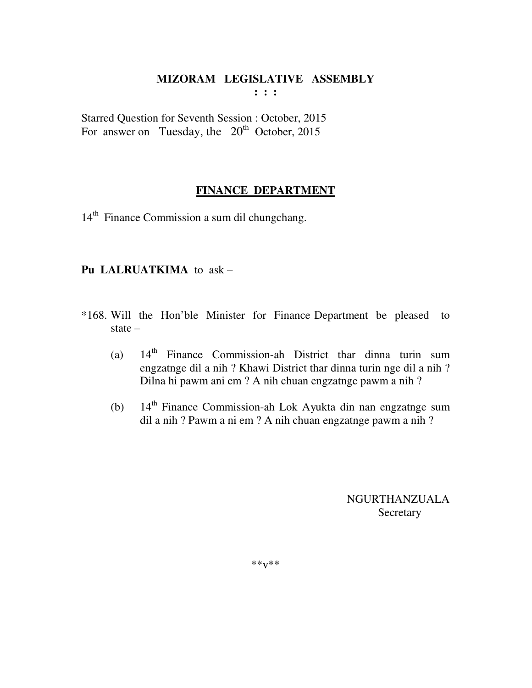Starred Question for Seventh Session : October, 2015 For answer on Tuesday, the  $20<sup>th</sup>$  October, 2015

## **FINANCE DEPARTMENT**

14<sup>th</sup> Finance Commission a sum dil chungchang.

## **Pu LALRUATKIMA** to ask –

- \*168. Will the Hon'ble Minister for Finance Department be pleased to state –
	- (a)  $14<sup>th</sup>$  Finance Commission-ah District thar dinna turin sum engzatnge dil a nih ? Khawi District thar dinna turin nge dil a nih ? Dilna hi pawm ani em ? A nih chuan engzatnge pawm a nih ?
	- (b) 14<sup>th</sup> Finance Commission-ah Lok Ayukta din nan engzatnge sum dil a nih ? Pawm a ni em ? A nih chuan engzatnge pawm a nih ?

 NGURTHANZUALA Secretary

\*\*v\*\*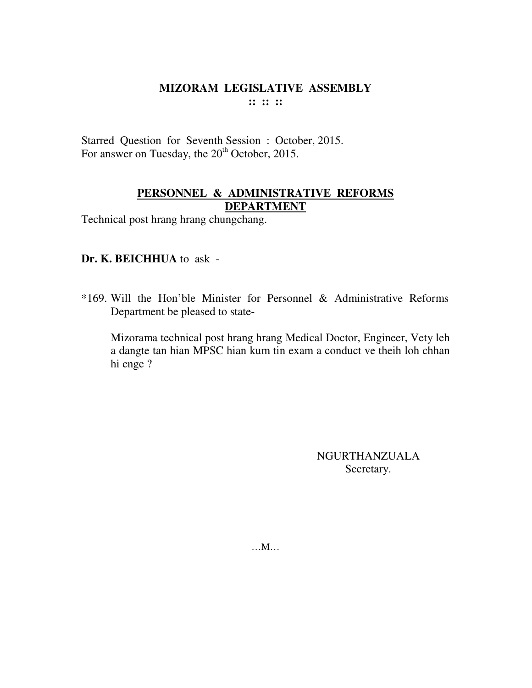Starred Question for Seventh Session : October, 2015. For answer on Tuesday, the 20<sup>th</sup> October, 2015.

## **PERSONNEL & ADMINISTRATIVE REFORMS DEPARTMENT**

Technical post hrang hrang chungchang.

## **Dr. K. BEICHHUA** to ask -

\*169. Will the Hon'ble Minister for Personnel & Administrative Reforms Department be pleased to state-

 Mizorama technical post hrang hrang Medical Doctor, Engineer, Vety leh a dangte tan hian MPSC hian kum tin exam a conduct ve theih loh chhan hi enge ?

> NGURTHANZUALA Secretary.

…M…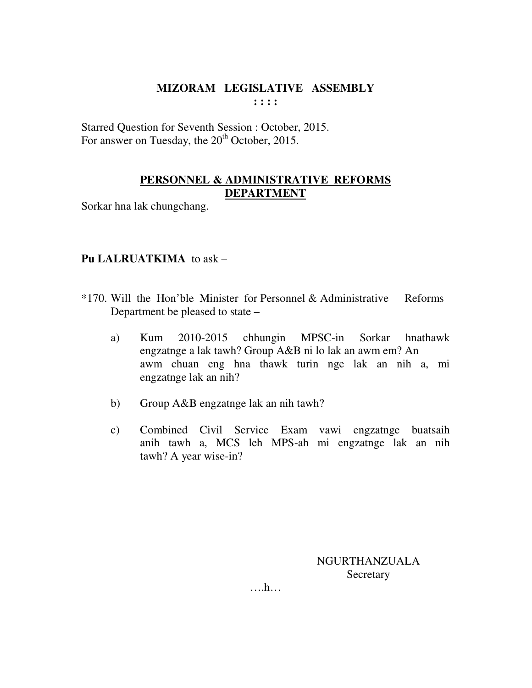Starred Question for Seventh Session : October, 2015. For answer on Tuesday, the 20<sup>th</sup> October, 2015.

# **PERSONNEL & ADMINISTRATIVE REFORMS DEPARTMENT**

Sorkar hna lak chungchang.

## **Pu LALRUATKIMA** to ask –

- \*170. Will the Hon'ble Minister for Personnel & Administrative Reforms Department be pleased to state –
	- a) Kum 2010-2015 chhungin MPSC-in Sorkar hnathawk engzatnge a lak tawh? Group A&B ni lo lak an awm em? An awm chuan eng hna thawk turin nge lak an nih a, mi engzatnge lak an nih?
	- b) Group A&B engzatnge lak an nih tawh?
	- c) Combined Civil Service Exam vawi engzatnge buatsaih anih tawh a, MCS leh MPS-ah mi engzatnge lak an nih tawh? A year wise-in?

NGURTHANZUALA Secretary

….h…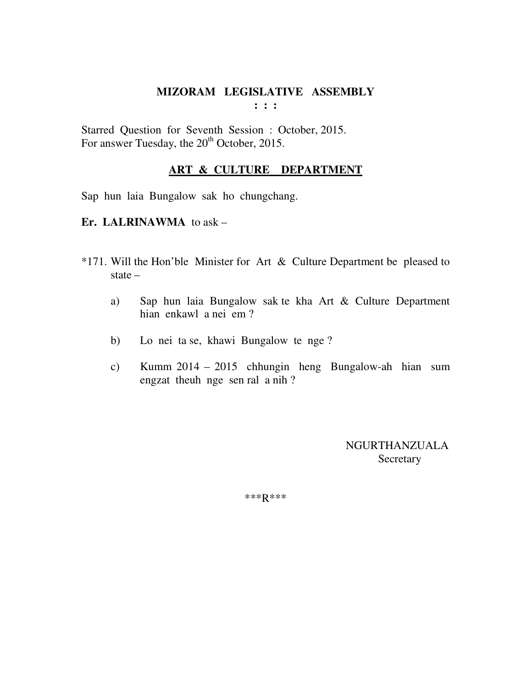Starred Question for Seventh Session : October, 2015. For answer Tuesday, the 20<sup>th</sup> October, 2015.

#### **ART & CULTURE DEPARTMENT**

Sap hun laia Bungalow sak ho chungchang.

## **Er. LALRINAWMA** to ask –

- \*171. Will the Hon'ble Minister for Art & Culture Department be pleased to state –
	- a) Sap hun laia Bungalow sak te kha Art & Culture Department hian enkawl a nei em ?
	- b) Lo nei ta se, khawi Bungalow te nge ?
	- c) Kumm 2014 2015 chhungin heng Bungalow-ah hian sum engzat theuh nge sen ral a nih ?

 NGURTHANZUALA Secretary

\*\*\*R\*\*\*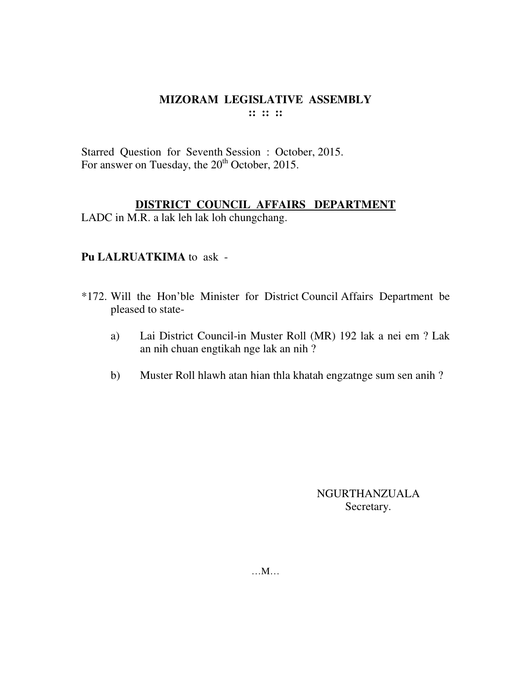Starred Question for Seventh Session : October, 2015. For answer on Tuesday, the 20<sup>th</sup> October, 2015.

## **DISTRICT COUNCIL AFFAIRS DEPARTMENT**

LADC in M.R. a lak leh lak loh chungchang.

## **Pu LALRUATKIMA** to ask -

- \*172. Will the Hon'ble Minister for District Council Affairs Department be pleased to state
	- a) Lai District Council-in Muster Roll (MR) 192 lak a nei em ? Lak an nih chuan engtikah nge lak an nih ?
	- b) Muster Roll hlawh atan hian thla khatah engzatnge sum sen anih ?

NGURTHANZUALA Secretary.

…M…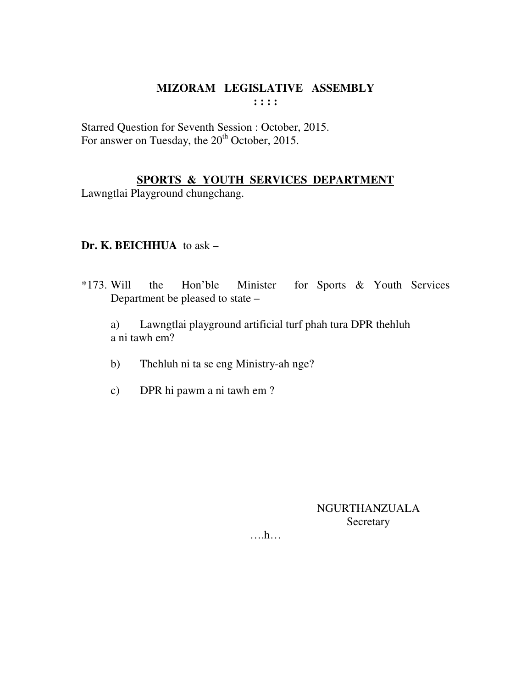Starred Question for Seventh Session : October, 2015. For answer on Tuesday, the 20<sup>th</sup> October, 2015.

# **SPORTS & YOUTH SERVICES DEPARTMENT**

Lawngtlai Playground chungchang.

## **Dr. K. BEICHHUA** to ask –

\*173. Will the Hon'ble Minister for Sports & Youth Services Department be pleased to state –

 a) Lawngtlai playground artificial turf phah tura DPR thehluh a ni tawh em?

- b) Thehluh ni ta se eng Ministry-ah nge?
- c) DPR hi pawm a ni tawh em ?

## NGURTHANZUALA Secretary

….h…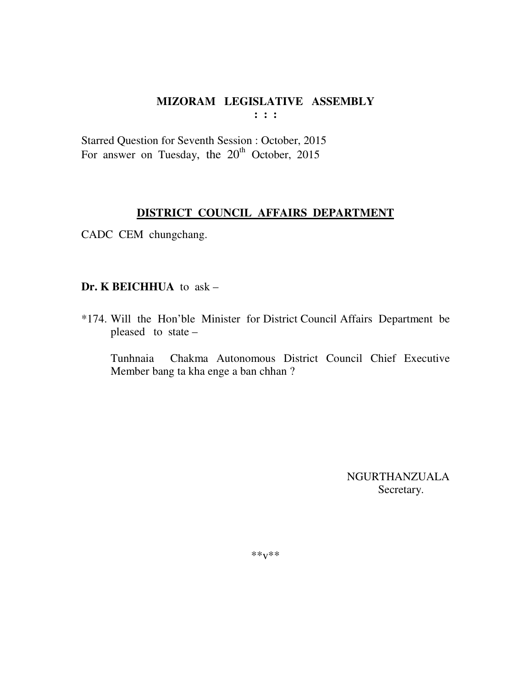Starred Question for Seventh Session : October, 2015 For answer on Tuesday, the  $20<sup>th</sup>$  October, 2015

## **DISTRICT COUNCIL AFFAIRS DEPARTMENT**

CADC CEM chungchang.

# **Dr. K BEICHHUA** to ask –

\*174. Will the Hon'ble Minister for District Council Affairs Department be pleased to state –

 Tunhnaia Chakma Autonomous District Council Chief Executive Member bang ta kha enge a ban chhan ?

> NGURTHANZUALA Secretary.

\*\*v\*\*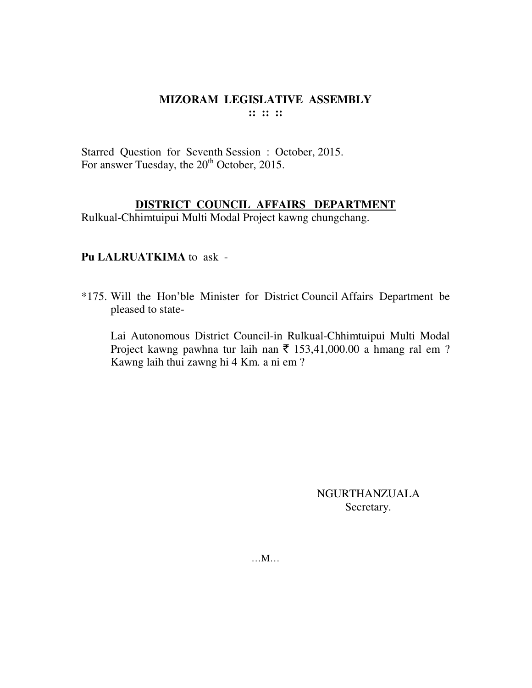Starred Question for Seventh Session : October, 2015. For answer Tuesday, the 20<sup>th</sup> October, 2015.

## **DISTRICT COUNCIL AFFAIRS DEPARTMENT**

Rulkual-Chhimtuipui Multi Modal Project kawng chungchang.

# **Pu LALRUATKIMA** to ask -

\*175. Will the Hon'ble Minister for District Council Affairs Department be pleased to state-

 Lai Autonomous District Council-in Rulkual-Chhimtuipui Multi Modal Project kawng pawhna tur laih nan  $\bar{\tau}$  153,41,000.00 a hmang ral em ? Kawng laih thui zawng hi 4 Km. a ni em ?

> NGURTHANZUALA Secretary.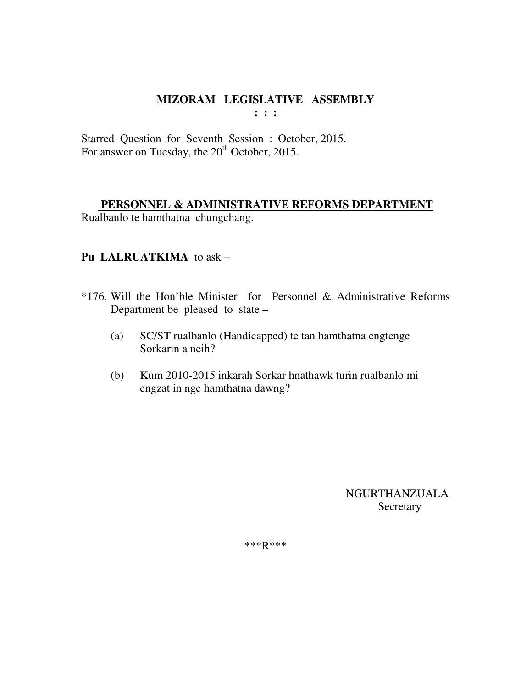# **MIZORAM LEGISLATIVE ASSEMBLY**

**: : :** 

Starred Question for Seventh Session : October, 2015. For answer on Tuesday, the 20<sup>th</sup> October, 2015.

## **PERSONNEL & ADMINISTRATIVE REFORMS DEPARTMENT**

Rualbanlo te hamthatna chungchang.

# **Pu LALRUATKIMA** to ask –

- \*176. Will the Hon'ble Minister for Personnel & Administrative Reforms Department be pleased to state –
	- (a) SC/ST rualbanlo (Handicapped) te tan hamthatna engtenge Sorkarin a neih?
	- (b) Kum 2010-2015 inkarah Sorkar hnathawk turin rualbanlo mi engzat in nge hamthatna dawng?

 NGURTHANZUALA **Secretary** 

\*\*\*R\*\*\*